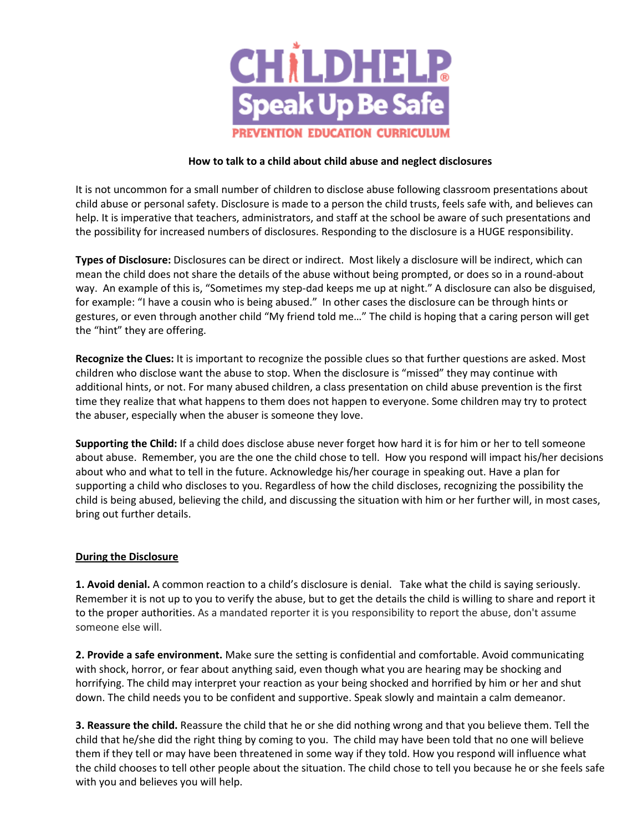

## **How to talk to a child about child abuse and neglect disclosures**

It is not uncommon for a small number of children to disclose abuse following classroom presentations about child abuse or personal safety. Disclosure is made to a person the child trusts, feels safe with, and believes can help. It is imperative that teachers, administrators, and staff at the school be aware of such presentations and the possibility for increased numbers of disclosures. Responding to the disclosure is a HUGE responsibility.

**Types of Disclosure:** Disclosures can be direct or indirect. Most likely a disclosure will be indirect, which can mean the child does not share the details of the abuse without being prompted, or does so in a round-about way. An example of this is, "Sometimes my step-dad keeps me up at night." A disclosure can also be disguised, for example: "I have a cousin who is being abused." In other cases the disclosure can be through hints or gestures, or even through another child "My friend told me…" The child is hoping that a caring person will get the "hint" they are offering.

**Recognize the Clues:** It is important to recognize the possible clues so that further questions are asked. Most children who disclose want the abuse to stop. When the disclosure is "missed" they may continue with additional hints, or not. For many abused children, a class presentation on child abuse prevention is the first time they realize that what happens to them does not happen to everyone. Some children may try to protect the abuser, especially when the abuser is someone they love.

**Supporting the Child:** If a child does disclose abuse never forget how hard it is for him or her to tell someone about abuse. Remember, you are the one the child chose to tell. How you respond will impact his/her decisions about who and what to tell in the future. Acknowledge his/her courage in speaking out. Have a plan for supporting a child who discloses to you. Regardless of how the child discloses, recognizing the possibility the child is being abused, believing the child, and discussing the situation with him or her further will, in most cases, bring out further details.

## **During the Disclosure**

**1. Avoid denial.** A common reaction to a child's disclosure is denial. Take what the child is saying seriously. Remember it is not up to you to verify the abuse, but to get the details the child is willing to share and report it to the proper authorities. As a mandated reporter it is you responsibility to report the abuse, don't assume someone else will.

**2. Provide a safe environment.** Make sure the setting is confidential and comfortable. Avoid communicating with shock, horror, or fear about anything said, even though what you are hearing may be shocking and horrifying. The child may interpret your reaction as your being shocked and horrified by him or her and shut down. The child needs you to be confident and supportive. Speak slowly and maintain a calm demeanor.

**3. Reassure the child.** Reassure the child that he or she did nothing wrong and that you believe them. Tell the child that he/she did the right thing by coming to you. The child may have been told that no one will believe them if they tell or may have been threatened in some way if they told. How you respond will influence what the child chooses to tell other people about the situation. The child chose to tell you because he or she feels safe with you and believes you will help.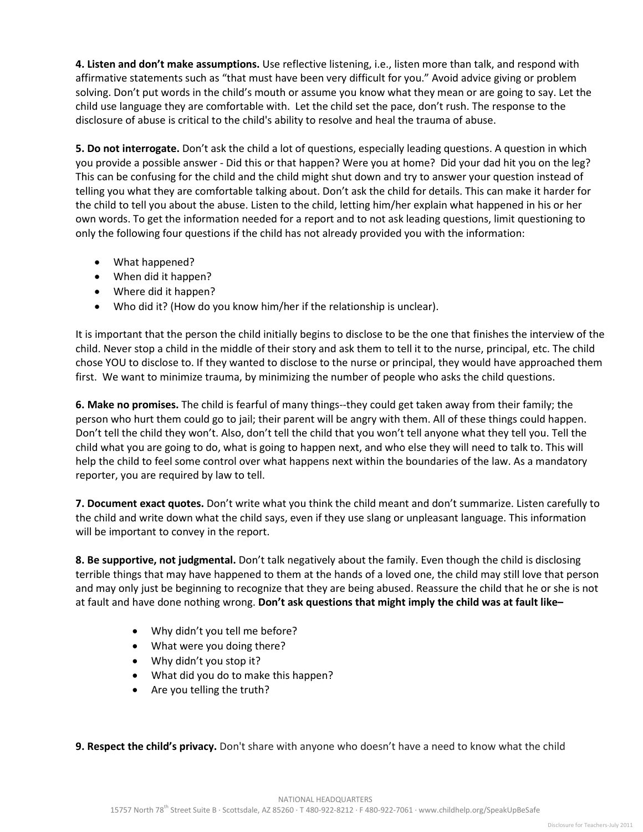**4. Listen and don't make assumptions.** Use reflective listening, i.e., listen more than talk, and respond with affirmative statements such as "that must have been very difficult for you." Avoid advice giving or problem solving. Don't put words in the child's mouth or assume you know what they mean or are going to say. Let the child use language they are comfortable with. Let the child set the pace, don't rush. The response to the disclosure of abuse is critical to the child's ability to resolve and heal the trauma of abuse.

**5. Do not interrogate.** Don't ask the child a lot of questions, especially leading questions. A question in which you provide a possible answer - Did this or that happen? Were you at home? Did your dad hit you on the leg? This can be confusing for the child and the child might shut down and try to answer your question instead of telling you what they are comfortable talking about. Don't ask the child for details. This can make it harder for the child to tell you about the abuse. Listen to the child, letting him/her explain what happened in his or her own words. To get the information needed for a report and to not ask leading questions, limit questioning to only the following four questions if the child has not already provided you with the information:

- What happened?
- When did it happen?
- Where did it happen?
- Who did it? (How do you know him/her if the relationship is unclear).

It is important that the person the child initially begins to disclose to be the one that finishes the interview of the child. Never stop a child in the middle of their story and ask them to tell it to the nurse, principal, etc. The child chose YOU to disclose to. If they wanted to disclose to the nurse or principal, they would have approached them first. We want to minimize trauma, by minimizing the number of people who asks the child questions.

**6. Make no promises.** The child is fearful of many things--they could get taken away from their family; the person who hurt them could go to jail; their parent will be angry with them. All of these things could happen. Don't tell the child they won't. Also, don't tell the child that you won't tell anyone what they tell you. Tell the child what you are going to do, what is going to happen next, and who else they will need to talk to. This will help the child to feel some control over what happens next within the boundaries of the law. As a mandatory reporter, you are required by law to tell.

**7. Document exact quotes.** Don't write what you think the child meant and don't summarize. Listen carefully to the child and write down what the child says, even if they use slang or unpleasant language. This information will be important to convey in the report.

**8. Be supportive, not judgmental.** Don't talk negatively about the family. Even though the child is disclosing terrible things that may have happened to them at the hands of a loved one, the child may still love that person and may only just be beginning to recognize that they are being abused. Reassure the child that he or she is not at fault and have done nothing wrong. **Don't ask questions that might imply the child was at fault like–**

- Why didn't you tell me before?
- What were you doing there?
- Why didn't you stop it?
- What did you do to make this happen?
- Are you telling the truth?

**9. Respect the child's privacy.** Don't share with anyone who doesn't have a need to know what the child